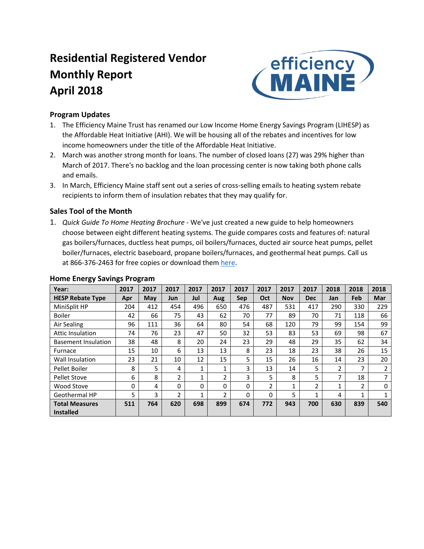# **Residential Registered Vendor Monthly Report April 2018**



### **Program Updates**

- 1. The Efficiency Maine Trust has renamed our Low Income Home Energy Savings Program (LIHESP) as the Affordable Heat Initiative (AHI). We will be housing all of the rebates and incentives for low income homeowners under the title of the Affordable Heat Initiative.
- 2. March was another strong month for loans. The number of closed loans (27) was 29% higher than March of 2017. There's no backlog and the loan processing center is now taking both phone calls and emails.
- 3. In March, Efficiency Maine staff sent out a series of cross-selling emails to heating system rebate recipients to inform them of insulation rebates that they may qualify for.

## **Sales Tool of the Month**

1. *Quick Guide To Home Heating Brochure* - We've just created a new guide to help homeowners choose between eight different heating systems. The guide compares costs and features of: natural gas boilers/furnaces, ductless heat pumps, oil boilers/furnaces, ducted air source heat pumps, pellet boiler/furnaces, electric baseboard, propane boilers/furnaces, and geothermal heat pumps. Call us at 866-376-2463 for free copies or download them [here.](https://www.efficiencymaine.com/docs/EM-Quick-Guide-to-Home-Heating.pdf)

| Year:                      | 2017 | 2017 | 2017 | 2017         | 2017 | 2017       | 2017           | 2017       | 2017       | 2018 | 2018         | 2018 |
|----------------------------|------|------|------|--------------|------|------------|----------------|------------|------------|------|--------------|------|
| <b>HESP Rebate Type</b>    | Apr  | May  | Jun  | Jul          | Aug  | <b>Sep</b> | Oct            | <b>Nov</b> | <b>Dec</b> | Jan  | Feb          | Mar  |
| MiniSplit HP               | 204  | 412  | 454  | 496          | 650  | 476        | 487            | 531        | 417        | 290  | 330          | 229  |
| <b>Boiler</b>              | 42   | 66   | 75   | 43           | 62   | 70         | 77             | 89         | 70         | 71   | 118          | 66   |
| Air Sealing                | 96   | 111  | 36   | 64           | 80   | 54         | 68             | 120        | 79         | 99   | 154          | 99   |
| <b>Attic Insulation</b>    | 74   | 76   | 23   | 47           | 50   | 32         | 53             | 83         | 53         | 69   | 98           | 67   |
| <b>Basement Insulation</b> | 38   | 48   | 8    | 20           | 24   | 23         | 29             | 48         | 29         | 35   | 62           | 34   |
| Furnace                    | 15   | 10   | 6    | 13           | 13   | 8          | 23             | 18         | 23         | 38   | 26           | 15   |
| Wall Insulation            | 23   | 21   | 10   | 12           | 15   | 5          | 15             | 26         | 16         | 14   | 23           | 20   |
| Pellet Boiler              | 8    | 5    | 4    | 1            | 1    | 3          | 13             | 14         | 5          | 2    | 7            | 2    |
| <b>Pellet Stove</b>        | 6    | 8    | 2    | $\mathbf{1}$ | 2    | 3          | 5              | 8          | 5          | 7    | 18           | 7    |
| Wood Stove                 | 0    | 4    | 0    | 0            | 0    | 0          | $\overline{2}$ | 1          | 2          | 1    | 2            | 0    |
| Geothermal HP              | 5    | 3    | 2    | $\mathbf{1}$ | 2    | 0          | 0              | 5          | 1          | 4    | $\mathbf{1}$ | 1    |
| <b>Total Measures</b>      | 511  | 764  | 620  | 698          | 899  | 674        | 772            | 943        | 700        | 630  | 839          | 540  |
| <b>Installed</b>           |      |      |      |              |      |            |                |            |            |      |              |      |

#### **Home Energy Savings Program**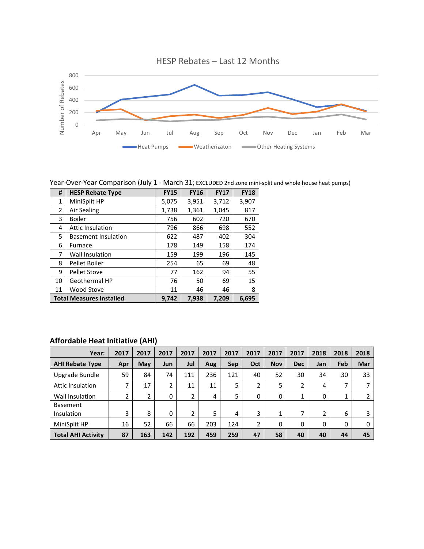

Year-Over-Year Comparison (July 1 - March 31; EXCLUDED 2nd zone mini-split and whole house heat pumps)

| #              | <b>HESP Rebate Type</b>         | <b>FY15</b> | <b>FY16</b> | <b>FY17</b> | <b>FY18</b> |
|----------------|---------------------------------|-------------|-------------|-------------|-------------|
| 1              | MiniSplit HP                    | 5,075       | 3,951       | 3,712       | 3,907       |
| $\overline{2}$ | Air Sealing                     | 1,738       | 1,361       | 1,045       | 817         |
| 3              | <b>Boiler</b>                   | 756         | 602         | 720         | 670         |
| 4              | <b>Attic Insulation</b>         | 796         | 866         | 698         | 552         |
| 5              | <b>Basement Insulation</b>      | 622         | 487         | 402         | 304         |
| 6              | Furnace                         | 178         | 149         | 158         | 174         |
| 7              | <b>Wall Insulation</b>          | 159         | 199         | 196         | 145         |
| 8              | Pellet Boiler                   | 254         | 65          | 69          | 48          |
| 9              | <b>Pellet Stove</b>             | 77          | 162         | 94          | 55          |
| 10             | Geothermal HP                   | 76          | 50          | 69          | 15          |
| 11             | Wood Stove                      | 11          | 46          | 46          | 8           |
|                | <b>Total Measures Installed</b> | 9.742       | 7,938       | 7,209       | 6.695       |

## **Affordable Heat Initiative (AHI)**

| Year:                         | 2017 | 2017 | 2017     | 2017           | 2017 | 2017 | 2017 | 2017       | 2017       | 2018 | 2018    | 2018 |
|-------------------------------|------|------|----------|----------------|------|------|------|------------|------------|------|---------|------|
| <b>AHI Rebate Type</b>        | Apr  | May  | Jun      | Jul            | Aug  | Sep  | Oct  | <b>Nov</b> | <b>Dec</b> | Jan  | Feb     | Mar  |
| Upgrade Bundle                | 59   | 84   | 74       | 111            | 236  | 121  | 40   | 52         | 30         | 34   | 30      | 33   |
| Attic Insulation              | ⇁    | 17   | 2        | 11             | 11   | 5    | 2    | 5          | 2          | 4    | 7       |      |
| Wall Insulation               | 2    | 2    | 0        | 2              | 4    | 5    | 0    | 0          | 1          | 0    | 1<br>Ŧ. |      |
| <b>Basement</b><br>Insulation | 3    | 8    | $\Omega$ | $\overline{2}$ | 5    | 4    | 3    | 4          | 7          | 2    | 6       |      |
| MiniSplit HP                  | 16   | 52   | 66       | 66             | 203  | 124  | 2    | 0          | 0          | 0    | 0       | 0    |
| <b>Total AHI Activity</b>     | 87   | 163  | 142      | 192            | 459  | 259  | 47   | 58         | 40         | 40   | 44      | 45   |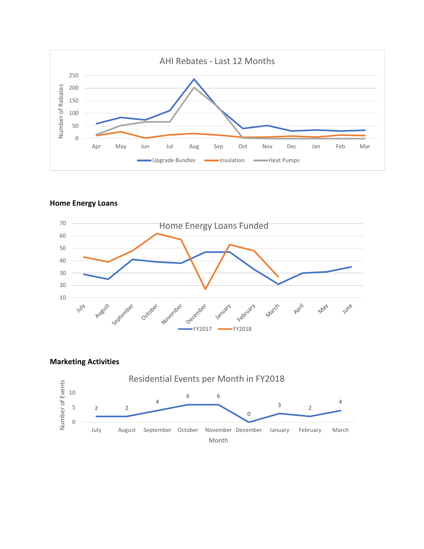

**Home Energy Loans**



**Marketing Activities**